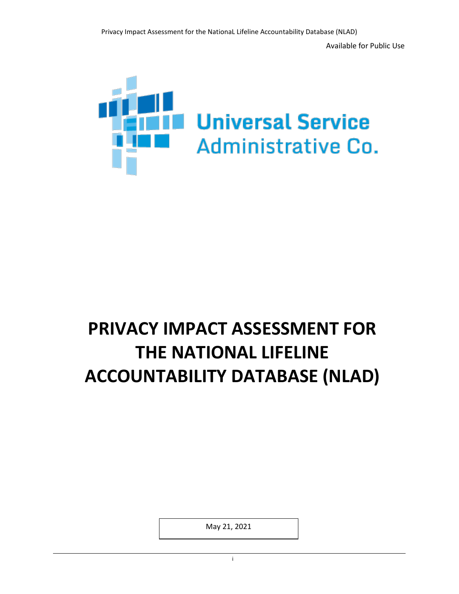

# **PRIVACY IMPACT ASSESSMENT FOR THE NATIONAL LIFELINE ACCOUNTABILITY DATABASE (NLAD)**

May 21, 2021

in the contract of the contract of the contract of the contract of the contract of the contract of the contract of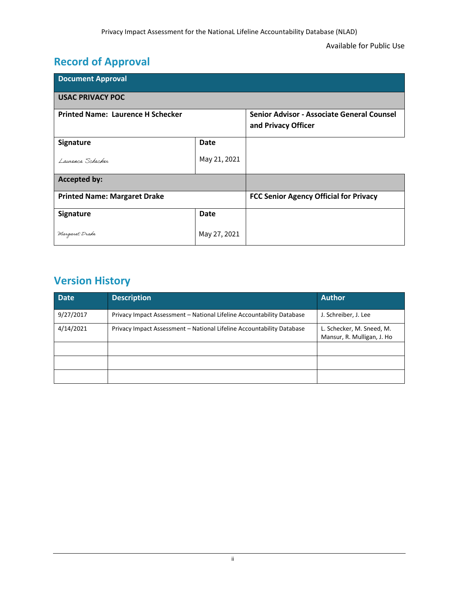## **Record of Approval**

| <b>Document Approval</b>                 |              |                                                                   |  |  |
|------------------------------------------|--------------|-------------------------------------------------------------------|--|--|
| <b>USAC PRIVACY POC</b>                  |              |                                                                   |  |  |
| <b>Printed Name: Laurence H Schecker</b> |              | Senior Advisor - Associate General Counsel<br>and Privacy Officer |  |  |
| Signature                                | Date         |                                                                   |  |  |
| Laurence Schecker                        | May 21, 2021 |                                                                   |  |  |
| <b>Accepted by:</b>                      |              |                                                                   |  |  |
| <b>Printed Name: Margaret Drake</b>      |              | <b>FCC Senior Agency Official for Privacy</b>                     |  |  |
| Signature                                | <b>Date</b>  |                                                                   |  |  |
| Margaret Drake                           | May 27, 2021 |                                                                   |  |  |

## **Version History**

| <b>Date</b> | <b>Description</b>                                                    | <b>Author</b>                                           |
|-------------|-----------------------------------------------------------------------|---------------------------------------------------------|
| 9/27/2017   | Privacy Impact Assessment - National Lifeline Accountability Database | J. Schreiber, J. Lee                                    |
| 4/14/2021   | Privacy Impact Assessment - National Lifeline Accountability Database | L. Schecker, M. Sneed, M.<br>Mansur, R. Mulligan, J. Ho |
|             |                                                                       |                                                         |
|             |                                                                       |                                                         |
|             |                                                                       |                                                         |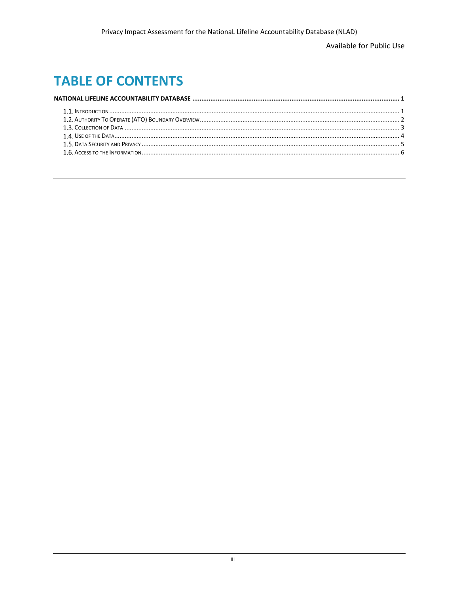Available for Public Use

## **TABLE OF CONTENTS**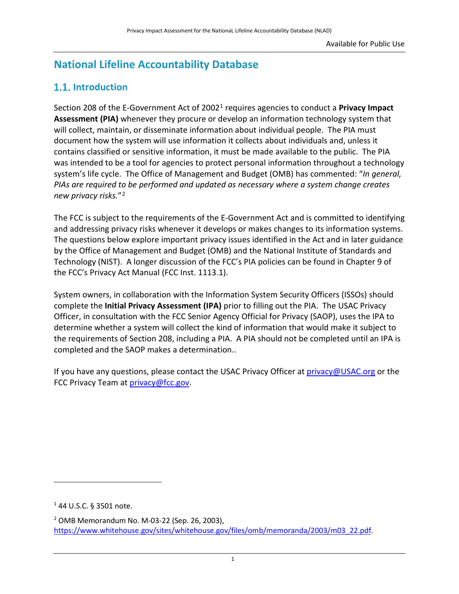### <span id="page-3-0"></span>**National Lifeline Accountability Database**

### **1.1.** Introduction

Section 208 of the E-Government Act of 20021 requires agencies to conduct a **Privacy Impact Assessment (PIA)** whenever they procure or develop an information technology system that will collect, maintain, or disseminate information about individual people. The PIA must document how the system will use information it collects about individuals and, unless it contains classified or sensitive information, it must be made available to the public. The PIA was intended to be a tool for agencies to protect personal information throughout a technology system's life cycle. The Office of Management and Budget (OMB) has commented: "*In general, PIAs are required to be performed and updated as necessary where a system change creates new privacy risks.*"2

The FCC is subject to the requirements of the E-Government Act and is committed to identifying and addressing privacy risks whenever it develops or makes changes to its information systems. The questions below explore important privacy issues identified in the Act and in later guidance by the Office of Management and Budget (OMB) and the National Institute of Standards and Technology (NIST). A longer discussion of the FCC's PIA policies can be found in Chapter 9 of the FCC's Privacy Act Manual (FCC Inst. 1113.1).

System owners, in collaboration with the Information System Security Officers (ISSOs) should complete the **Initial Privacy Assessment (IPA)** prior to filling out the PIA. The USAC Privacy Officer, in consultation with the FCC Senior Agency Official for Privacy (SAOP), uses the IPA to determine whether a system will collect the kind of information that would make it subject to the requirements of Section 208, including a PIA. A PIA should not be completed until an IPA is completed and the SAOP makes a determination..

If you have any questions, please contact the USAC Privacy Officer at [privacy@USAC.org](mailto:privacy@USAC.org) or the FCC Privacy Team at [privacy@fcc.gov.](mailto:privacy@fcc.gov)

 $\overline{\phantom{a}}$ 

<sup>1</sup> 44 U.S.C. § 3501 note.

<sup>2</sup> OMB Memorandum No. M-03-22 (Sep. 26, 2003), [https://www.whitehouse.gov/sites/whitehouse.gov/files/omb/memoranda/2003/m03\\_22.pdf.](https://www.whitehouse.gov/sites/whitehouse.gov/files/omb/memoranda/2003/m03_22.pdf)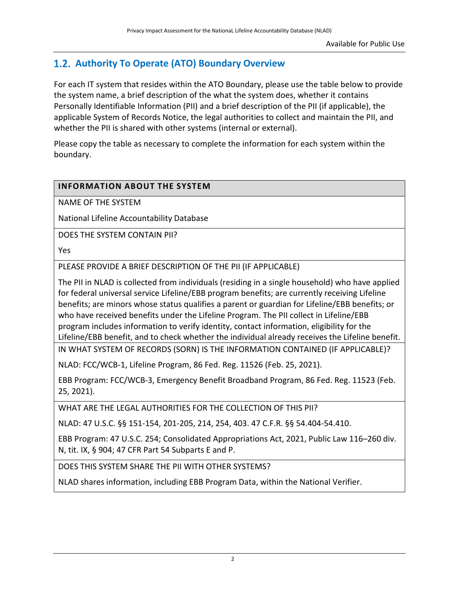### <span id="page-4-0"></span>**Authority To Operate (ATO) Boundary Overview**

For each IT system that resides within the ATO Boundary, please use the table below to provide the system name, a brief description of the what the system does, whether it contains Personally Identifiable Information (PII) and a brief description of the PII (if applicable), the applicable System of Records Notice, the legal authorities to collect and maintain the PII, and whether the PII is shared with other systems (internal or external).

Please copy the table as necessary to complete the information for each system within the boundary.

#### **INFORMATION ABOUT THE SYSTEM**

NAME OF THE SYSTEM

National Lifeline Accountability Database

DOES THE SYSTEM CONTAIN PII?

Yes

PLEASE PROVIDE A BRIEF DESCRIPTION OF THE PII (IF APPLICABLE)

The PII in NLAD is collected from individuals (residing in a single household) who have applied for federal universal service Lifeline/EBB program benefits; are currently receiving Lifeline benefits; are minors whose status qualifies a parent or guardian for Lifeline/EBB benefits; or who have received benefits under the Lifeline Program. The PII collect in Lifeline/EBB program includes information to verify identity, contact information, eligibility for the Lifeline/EBB benefit, and to check whether the individual already receives the Lifeline benefit.

IN WHAT SYSTEM OF RECORDS (SORN) IS THE INFORMATION CONTAINED (IF APPLICABLE)?

NLAD: FCC/WCB-1, Lifeline Program, 86 Fed. Reg. 11526 (Feb. 25, 2021).

EBB Program: FCC/WCB-3, Emergency Benefit Broadband Program, 86 Fed. Reg. 11523 (Feb. 25, 2021).

WHAT ARE THE LEGAL AUTHORITIES FOR THE COLLECTION OF THIS PII?

NLAD: 47 U.S.C. §§ 151-154, 201-205, 214, 254, 403. 47 C.F.R. §§ 54.404-54.410.

EBB Program: 47 U.S.C. 254; Consolidated Appropriations Act, 2021, Public Law 116–260 div. N, tit. IX, § 904; 47 CFR Part 54 Subparts E and P.

DOES THIS SYSTEM SHARE THE PII WITH OTHER SYSTEMS?

NLAD shares information, including EBB Program Data, within the National Verifier.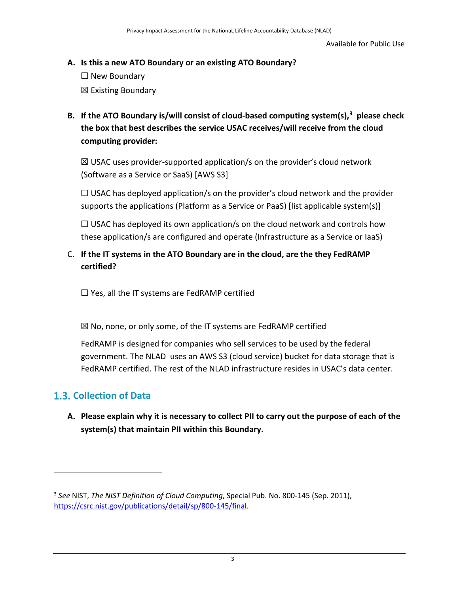- <span id="page-5-0"></span>**A. Is this a new ATO Boundary or an existing ATO Boundary?**   $\Box$  New Boundary
	- ☒ Existing Boundary
- **B. If the ATO Boundary is/will consist of cloud-based computing system(s), 3 please check the box that best describes the service USAC receives/will receive from the cloud computing provider:**

 $\boxtimes$  USAC uses provider-supported application/s on the provider's cloud network (Software as a Service or SaaS) [AWS S3]

 $\Box$  USAC has deployed application/s on the provider's cloud network and the provider supports the applications (Platform as a Service or PaaS) [list applicable system(s)]

 $\Box$  USAC has deployed its own application/s on the cloud network and controls how these application/s are configured and operate (Infrastructure as a Service or IaaS)

#### C. **If the IT systems in the ATO Boundary are in the cloud, are the they FedRAMP certified?**

 $\Box$  Yes, all the IT systems are FedRAMP certified

 $\boxtimes$  No, none, or only some, of the IT systems are FedRAMP certified

FedRAMP is designed for companies who sell services to be used by the federal government. The NLAD uses an AWS S3 (cloud service) bucket for data storage that is FedRAMP certified. The rest of the NLAD infrastructure resides in USAC's data center.

### **Collection of Data**

 $\overline{a}$ 

**A. Please explain why it is necessary to collect PII to carry out the purpose of each of the system(s) that maintain PII within this Boundary.**

<sup>3</sup> *See* NIST, *The NIST Definition of Cloud Computing*, Special Pub. No. 800-145 (Sep. 2011), [https://csrc.nist.gov/publications/detail/sp/800-145/final.](https://csrc.nist.gov/publications/detail/sp/800-145/final)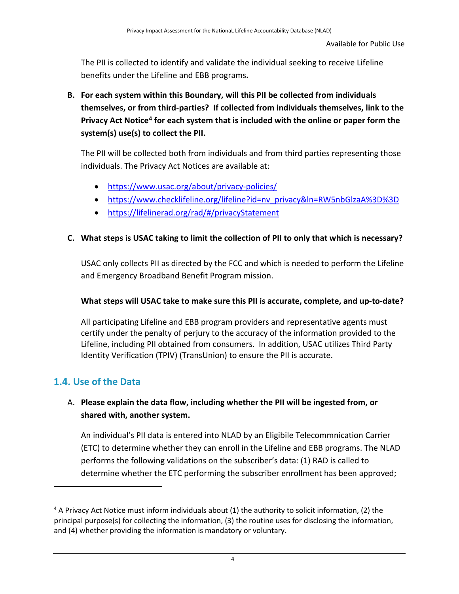<span id="page-6-0"></span>The PII is collected to identify and validate the individual seeking to receive Lifeline benefits under the Lifeline and EBB programs**.**

**B. For each system within this Boundary, will this PII be collected from individuals themselves, or from third-parties? If collected from individuals themselves, link to the Privacy Act Notice4 for each system that is included with the online or paper form the system(s) use(s) to collect the PII.** 

The PII will be collected both from individuals and from third parties representing those individuals. The Privacy Act Notices are available at:

- <https://www.usac.org/about/privacy-policies/>
- [https://www.checklifeline.org/lifeline?id=nv\\_privacy&ln=RW5nbGlzaA%3D%3D](https://www.checklifeline.org/lifeline?id=nv_privacy&ln=RW5nbGlzaA%3D%3D)
- <https://lifelinerad.org/rad/#/privacyStatement>

#### **C. What steps is USAC taking to limit the collection of PII to only that which is necessary?**

USAC only collects PII as directed by the FCC and which is needed to perform the Lifeline and Emergency Broadband Benefit Program mission.

#### **What steps will USAC take to make sure this PII is accurate, complete, and up-to-date?**

All participating Lifeline and EBB program providers and representative agents must certify under the penalty of perjury to the accuracy of the information provided to the Lifeline, including PII obtained from consumers. In addition, USAC utilizes Third Party Identity Verification (TPIV) (TransUnion) to ensure the PII is accurate.

#### **Use of the Data**

 $\overline{\phantom{a}}$ 

#### A. **Please explain the data flow, including whether the PII will be ingested from, or shared with, another system.**

An individual's PII data is entered into NLAD by an Eligibile Telecommnication Carrier (ETC) to determine whether they can enroll in the Lifeline and EBB programs. The NLAD performs the following validations on the subscriber's data: (1) RAD is called to determine whether the ETC performing the subscriber enrollment has been approved;

<sup>4</sup> A Privacy Act Notice must inform individuals about (1) the authority to solicit information, (2) the principal purpose(s) for collecting the information, (3) the routine uses for disclosing the information, and (4) whether providing the information is mandatory or voluntary.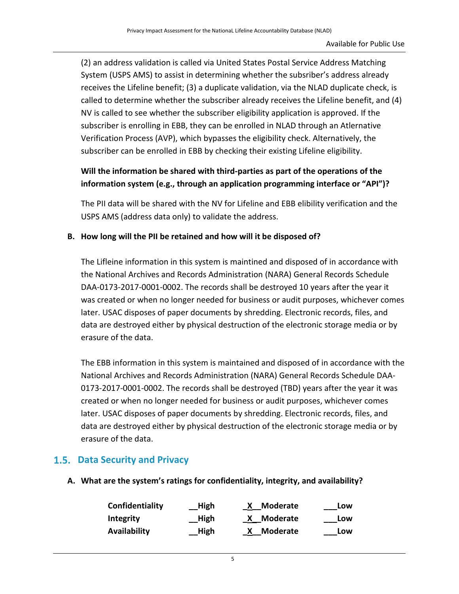<span id="page-7-0"></span>(2) an address validation is called via United States Postal Service Address Matching System (USPS AMS) to assist in determining whether the subsriber's address already receives the Lifeline benefit; (3) a duplicate validation, via the NLAD duplicate check, is called to determine whether the subscriber already receives the Lifeline benefit, and (4) NV is called to see whether the subscriber eligibility application is approved. If the subscriber is enrolling in EBB, they can be enrolled in NLAD through an Atlernative Verification Process (AVP), which bypasses the eligibility check. Alternatively, the subscriber can be enrolled in EBB by checking their existing Lifeline eligibility.

#### **Will the information be shared with third-parties as part of the operations of the information system (e.g., through an application programming interface or "API")?**

The PII data will be shared with the NV for Lifeline and EBB elibility verification and the USPS AMS (address data only) to validate the address.

#### **B. How long will the PII be retained and how will it be disposed of?**

The Lifleine information in this system is maintined and disposed of in accordance with the National Archives and Records Administration (NARA) General Records Schedule DAA-0173-2017-0001-0002. The records shall be destroyed 10 years after the year it was created or when no longer needed for business or audit purposes, whichever comes later. USAC disposes of paper documents by shredding. Electronic records, files, and data are destroyed either by physical destruction of the electronic storage media or by erasure of the data.

The EBB information in this system is maintained and disposed of in accordance with the National Archives and Records Administration (NARA) General Records Schedule DAA-0173-2017-0001-0002. The records shall be destroyed (TBD) years after the year it was created or when no longer needed for business or audit purposes, whichever comes later. USAC disposes of paper documents by shredding. Electronic records, files, and data are destroyed either by physical destruction of the electronic storage media or by erasure of the data.

#### **Data Security and Privacy**

**A. What are the system's ratings for confidentiality, integrity, and availability?**

| Confidentiality | High | <b>Moderate</b> | Low |
|-----------------|------|-----------------|-----|
| Integrity       | High | X Moderate      | Low |
| Availability    | High | X Moderate      | Low |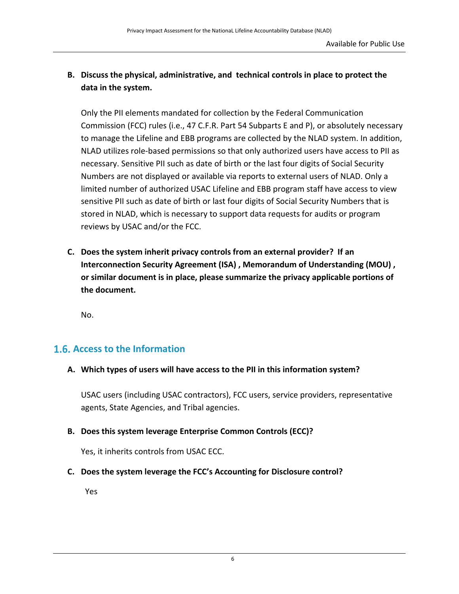#### <span id="page-8-0"></span>**B. Discuss the physical, administrative, and technical controls in place to protect the data in the system.**

Only the PII elements mandated for collection by the Federal Communication Commission (FCC) rules (i.e., 47 C.F.R. Part 54 Subparts E and P), or absolutely necessary to manage the Lifeline and EBB programs are collected by the NLAD system. In addition, NLAD utilizes role-based permissions so that only authorized users have access to PII as necessary. Sensitive PII such as date of birth or the last four digits of Social Security Numbers are not displayed or available via reports to external users of NLAD. Only a limited number of authorized USAC Lifeline and EBB program staff have access to view sensitive PII such as date of birth or last four digits of Social Security Numbers that is stored in NLAD, which is necessary to support data requests for audits or program reviews by USAC and/or the FCC.

**C. Does the system inherit privacy controls from an external provider? If an Interconnection Security Agreement (ISA) , Memorandum of Understanding (MOU) , or similar document is in place, please summarize the privacy applicable portions of the document.** 

No.

#### **Access to the Information**

**A. Which types of users will have access to the PII in this information system?**

USAC users (including USAC contractors), FCC users, service providers, representative agents, State Agencies, and Tribal agencies.

**B. Does this system leverage Enterprise Common Controls (ECC)?**

Yes, it inherits controls from USAC ECC.

**C. Does the system leverage the FCC's Accounting for Disclosure control?**

Yes